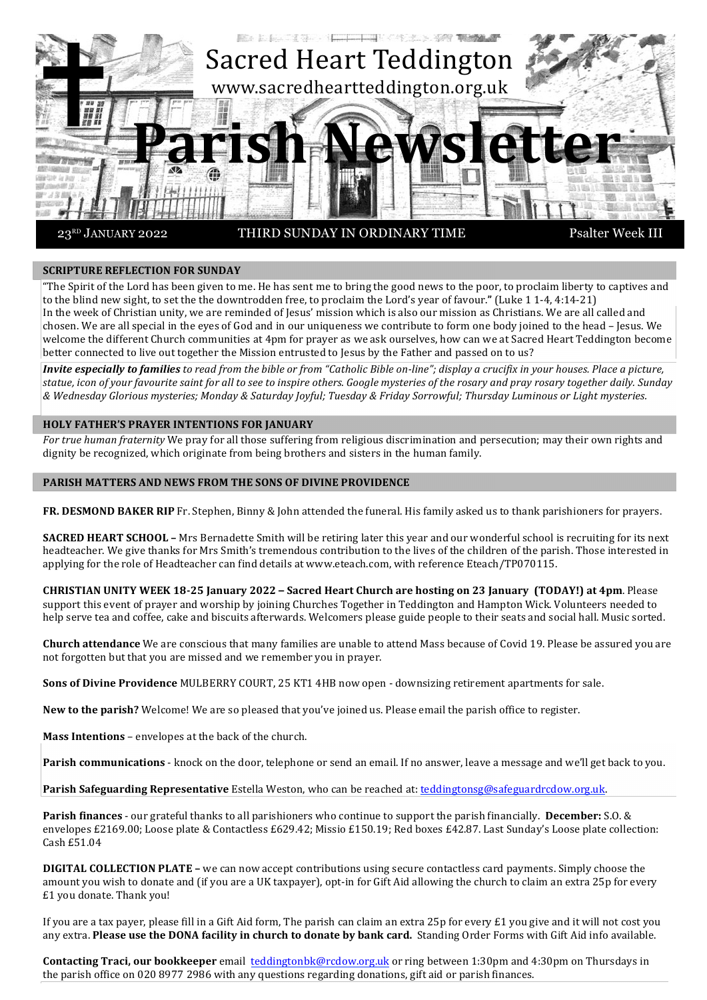

23RD JANUARY 2022 THIRD SUNDAY IN ORDINARY TIME Psalter Week III

## **SCRIPTURE REFLECTION FOR SUNDAY**

"The Spirit of the Lord has been given to me. He has sent me to bring the good news to the poor, to proclaim liberty to captives and to the blind new sight, to set the the downtrodden free, to proclaim the Lord's year of favour." (Luke 1 1-4, 4:14-21) In the week of Christian unity, we are reminded of Jesus' mission which is also our mission as Christians. We are all called and chosen. We are all special in the eyes of God and in our uniqueness we contribute to form one body joined to the head – Jesus. We welcome the different Church communities at 4pm for prayer as we ask ourselves, how can we at Sacred Heart Teddington become better connected to live out together the Mission entrusted to Jesus by the Father and passed on to us?

*Invite especially to families* to read from the bible or from "Catholic Bible on-line"; display a crucifix in your houses. Place a picture, statue, icon of your favourite saint for all to see to inspire others. Google mysteries of the rosary and pray rosary together daily. Sunday *& Wednesday Glorious mysteries; Monday & Saturday Joyful; Tuesday & Friday Sorrowful; Thursday Luminous or Light mysteries.*

#### **HOLY FATHER'S PRAYER INTENTIONS FOR JANUARY**

*For true human fraternity* We pray for all those suffering from religious discrimination and persecution; may their own rights and dignity be recognized, which originate from being brothers and sisters in the human family.

#### **PARISH MATTERS AND NEWS FROM THE SONS OF DIVINE PROVIDENCE**

FR. DESMOND BAKER RIP Fr. Stephen, Binny & John attended the funeral. His family asked us to thank parishioners for prayers.

**SACRED HEART SCHOOL** – Mrs Bernadette Smith will be retiring later this year and our wonderful school is recruiting for its next headteacher. We give thanks for Mrs Smith's tremendous contribution to the lives of the children of the parish. Those interested in applying for the role of Headteacher can find details at www.eteach.com, with reference Eteach/TP070115.

**CHRISTIAN UNITY WEEK 18-25 January 2022 – Sacred Heart Church are hosting on 23 January (TODAY!) at 4pm. Please** support this event of prayer and worship by joining Churches Together in Teddington and Hampton Wick. Volunteers needed to help serve tea and coffee, cake and biscuits afterwards. Welcomers please guide people to their seats and social hall. Music sorted.

**Church attendance** We are conscious that many families are unable to attend Mass because of Covid 19. Please be assured you are not forgotten but that you are missed and we remember you in prayer.

**Sons of Divine Providence** MULBERRY COURT, 25 KT1 4HB now open - downsizing retirement apartments for sale.

**New to the parish?** Welcome! We are so pleased that you've joined us. Please email the parish office to register.

**Mass Intentions** – envelopes at the back of the church.

**Parish communications** - knock on the door, telephone or send an email. If no answer, leave a message and we'll get back to you.

**Parish Safeguarding Representative** Estella Weston, who can be reached at: teddingtonsg@safeguardrcdow.org.uk.

**Parish finances** - our grateful thanks to all parishioners who continue to support the parish financially. December: S.O. & envelopes £2169.00; Loose plate & Contactless £629.42; Missio £150.19; Red boxes £42.87. Last Sunday's Loose plate collection:  $Cash £51.04$ 

**DIGITAL COLLECTION PLATE** – we can now accept contributions using secure contactless card payments. Simply choose the amount you wish to donate and (if you are a UK taxpayer), opt-in for Gift Aid allowing the church to claim an extra 25p for every £1 you donate. Thank you!

If you are a tax payer, please fill in a Gift Aid form, The parish can claim an extra  $25p$  for every £1 you give and it will not cost you any extra. Please use the DONA facility in church to donate by bank card. Standing Order Forms with Gift Aid info available.

**Contacting Traci, our bookkeeper** email teddingtonbk@rcdow.org.uk or ring between 1:30pm and 4:30pm on Thursdays in the parish office on 020 8977 2986 with any questions regarding donations, gift aid or parish finances.